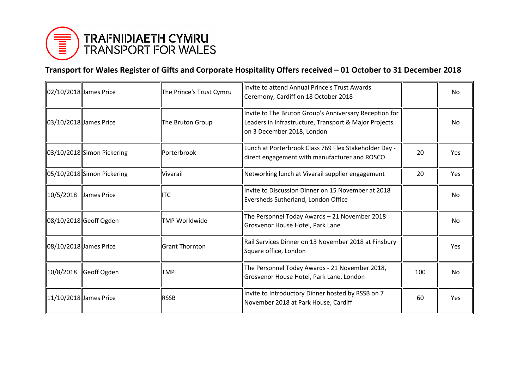

## **Transport for Wales Register of Gifts and Corporate Hospitality Offers received – 01 October to 31 December 2018**

| 02/10/2018 James Price |                            | The Prince's Trust Cymru | llnvite to attend Annual Prince's Trust Awards<br>Ceremony, Cardiff on 18 October 2018                                                        |     | <b>No</b>  |
|------------------------|----------------------------|--------------------------|-----------------------------------------------------------------------------------------------------------------------------------------------|-----|------------|
| 03/10/2018 James Price |                            | The Bruton Group         | Invite to The Bruton Group's Anniversary Reception for<br>Leaders in Infrastructure, Transport & Major Projects<br>on 3 December 2018, London |     | <b>No</b>  |
|                        | 03/10/2018 Simon Pickering | Porterbrook              | Lunch at Porterbrook Class 769 Flex Stakeholder Day -<br>direct engagement with manufacturer and ROSCO                                        | 20  | Yes        |
|                        | 05/10/2018 Simon Pickering | Vivarail                 | Networking lunch at Vivarail supplier engagement                                                                                              | 20  | Yes        |
| 10/5/2018              | James Price                | <b>I</b> ITC             | Invite to Discussion Dinner on 15 November at 2018<br>Eversheds Sutherland, London Office                                                     |     | No.        |
|                        | 08/10/2018 Geoff Ogden     | TMP Worldwide            | The Personnel Today Awards - 21 November 2018<br>Grosvenor House Hotel, Park Lane                                                             |     | No         |
| 08/10/2018 James Price |                            | lGrant Thornton          | Rail Services Dinner on 13 November 2018 at Finsbury<br>Square office, London                                                                 |     | <b>Yes</b> |
| 10/8/2018              | Geoff Ogden                | TMP                      | The Personnel Today Awards - 21 November 2018,<br>Grosvenor House Hotel, Park Lane, London                                                    | 100 | <b>No</b>  |
|                        | 11/10/2018 James Price     | <b>RSSB</b>              | Invite to Introductory Dinner hosted by RSSB on 7<br>November 2018 at Park House, Cardiff                                                     | 60  | Yes        |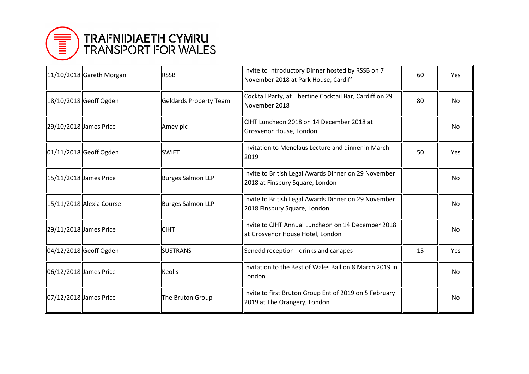

|                        | 11/10/2018 Gareth Morgan | <b>IRSSB</b>           | Invite to Introductory Dinner hosted by RSSB on 7<br>November 2018 at Park House, Cardiff | 60 | Yes       |
|------------------------|--------------------------|------------------------|-------------------------------------------------------------------------------------------|----|-----------|
|                        | 18/10/2018 Geoff Ogden   | Geldards Property Team | Cocktail Party, at Libertine Cocktail Bar, Cardiff on 29<br>November 2018                 | 80 | <b>No</b> |
|                        | 29/10/2018 James Price   | Amey plc               | CIHT Luncheon 2018 on 14 December 2018 at<br>Grosvenor House, London                      |    | No        |
|                        | 01/11/2018 Geoff Ogden   | <b>ISWIET</b>          | Invitation to Menelaus Lecture and dinner in March<br>2019                                | 50 | Yes       |
|                        | 15/11/2018 James Price   | Burges Salmon LLP      | Invite to British Legal Awards Dinner on 29 November<br>2018 at Finsbury Square, London   |    | <b>No</b> |
|                        | 15/11/2018 Alexia Course | Burges Salmon LLP      | Invite to British Legal Awards Dinner on 29 November<br>2018 Finsbury Square, London      |    | <b>No</b> |
|                        | 29/11/2018 James Price   | <b>CIHT</b>            | linvite to CIHT Annual Luncheon on 14 December 2018<br>at Grosvenor House Hotel, London   |    | <b>No</b> |
|                        | 04/12/2018 Geoff Ogden   | <b>ISUSTRANS</b>       | Senedd reception - drinks and canapes                                                     | 15 | Yes       |
|                        | 06/12/2018 James Price   | <b>Keolis</b>          | Invitation to the Best of Wales Ball on 8 March 2019 in<br>London                         |    | <b>No</b> |
| 07/12/2018 James Price |                          | The Bruton Group       | Invite to first Bruton Group Ent of 2019 on 5 February<br>2019 at The Orangery, London    |    | No        |